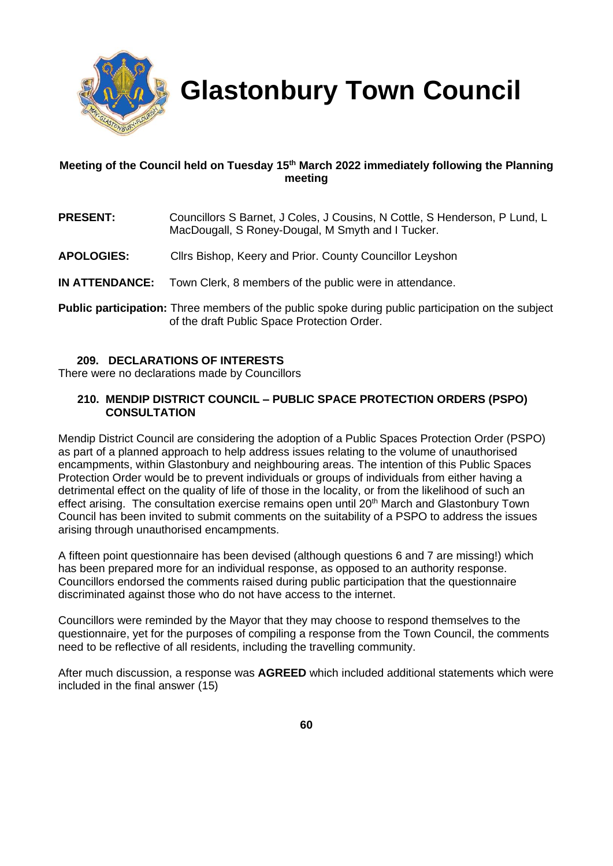

 **Glastonbury Town Council**

## **Meeting of the Council held on Tuesday 15th March 2022 immediately following the Planning meeting**

- **PRESENT:** Councillors S Barnet, J Coles, J Cousins, N Cottle, S Henderson, P Lund, L MacDougall, S Roney-Dougal, M Smyth and I Tucker.
- **APOLOGIES:** Cllrs Bishop, Keery and Prior. County Councillor Leyshon
- **IN ATTENDANCE:** Town Clerk, 8 members of the public were in attendance.
- **Public participation:** Three members of the public spoke during public participation on the subject of the draft Public Space Protection Order.

## **209. DECLARATIONS OF INTERESTS**

There were no declarations made by Councillors

## **210. MENDIP DISTRICT COUNCIL – PUBLIC SPACE PROTECTION ORDERS (PSPO) CONSULTATION**

Mendip District Council are considering the adoption of a Public Spaces Protection Order (PSPO) as part of a planned approach to help address issues relating to the volume of unauthorised encampments, within Glastonbury and neighbouring areas. The intention of this Public Spaces Protection Order would be to prevent individuals or groups of individuals from either having a detrimental effect on the quality of life of those in the locality, or from the likelihood of such an effect arising. The consultation exercise remains open until 20<sup>th</sup> March and Glastonbury Town Council has been invited to submit comments on the suitability of a PSPO to address the issues arising through unauthorised encampments.

A fifteen point questionnaire has been devised (although questions 6 and 7 are missing!) which has been prepared more for an individual response, as opposed to an authority response. Councillors endorsed the comments raised during public participation that the questionnaire discriminated against those who do not have access to the internet.

Councillors were reminded by the Mayor that they may choose to respond themselves to the questionnaire, yet for the purposes of compiling a response from the Town Council, the comments need to be reflective of all residents, including the travelling community.

After much discussion, a response was **AGREED** which included additional statements which were included in the final answer (15)